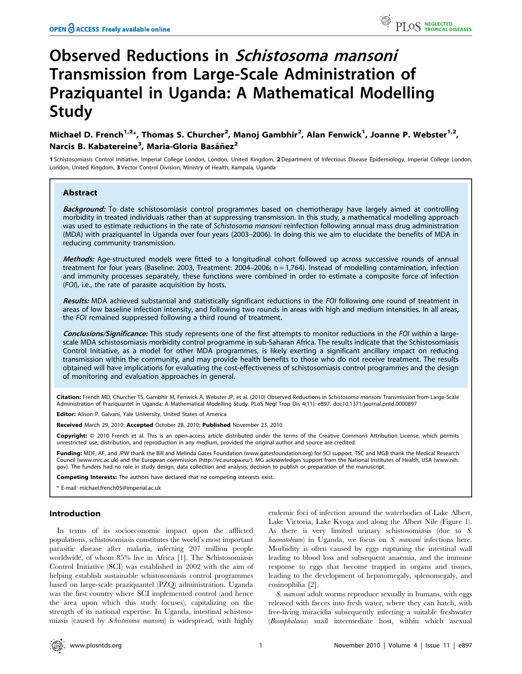# Observed Reductions in Schistosoma mansoni Transmission from Large-Scale Administration of Praziquantel in Uganda: A Mathematical Modelling Study

## Michael D. French<sup>1,2</sup>\*, Thomas S. Churcher<sup>2</sup>, Manoj Gambhir<sup>2</sup>, Alan Fenwick<sup>1</sup>, Joanne P. Webster<sup>1,2</sup>, Narcis B. Kabatereine<sup>3</sup>, Maria-Gloria Basáñez<sup>2</sup>

1 Schistosomiasis Control Initiative, Imperial College London, London, United Kingdom, 2 Department of Infectious Disease Epidemiology, Imperial College London, London, United Kingdom, 3 Vector Control Division, Ministry of Health, Kampala, Uganda

## Abstract

Background: To date schistosomiasis control programmes based on chemotherapy have largely aimed at controlling morbidity in treated individuals rather than at suppressing transmission. In this study, a mathematical modelling approach was used to estimate reductions in the rate of Schistosoma mansoni reinfection following annual mass drug administration (MDA) with praziquantel in Uganda over four years (2003–2006). In doing this we aim to elucidate the benefits of MDA in reducing community transmission.

Methods: Age-structured models were fitted to a longitudinal cohort followed up across successive rounds of annual treatment for four years (Baseline: 2003, Treatment: 2004–2006; n = 1,764). Instead of modelling contamination, infection and immunity processes separately, these functions were combined in order to estimate a composite force of infection (FOI), i.e., the rate of parasite acquisition by hosts.

Results: MDA achieved substantial and statistically significant reductions in the FOI following one round of treatment in areas of low baseline infection intensity, and following two rounds in areas with high and medium intensities. In all areas, the FOI remained suppressed following a third round of treatment.

Conclusions/Significance: This study represents one of the first attempts to monitor reductions in the FOI within a largescale MDA schistosomiasis morbidity control programme in sub-Saharan Africa. The results indicate that the Schistosomiasis Control Initiative, as a model for other MDA programmes, is likely exerting a significant ancillary impact on reducing transmission within the community, and may provide health benefits to those who do not receive treatment. The results obtained will have implications for evaluating the cost-effectiveness of schistosomiasis control programmes and the design of monitoring and evaluation approaches in general.

Citation: French MD, Churcher TS, Gambhir M, Fenwick A, Webster JP, et al. (2010) Observed Reductions in Schistosoma mansoni Transmission from Large-Scale Administration of Praziquantel in Uganda: A Mathematical Modelling Study. PLoS Negl Trop Dis 4(11): e897. doi:10.1371/journal.pntd.0000897

Editor: Alison P. Galvani, Yale University, United States of America

Received March 29, 2010; Accepted October 28, 2010; Published November 23, 2010

Copyright: © 2010 French et al. This is an open-access article distributed under the terms of the Creative Commons Attribution License, which permits unrestricted use, distribution, and reproduction in any medium, provided the original author and source are credited.

Funding: MDF, AF, and JPW thank the Bill and Melinda Gates Foundation (www.gatesfoundation.org) for SCI support. TSC and MGB thank the Medical Research Council (www.mrc.ac.uk) and the European commission (http://ec.europa.eu/). MG acknowledges support from the National Institutes of Health, USA (www.nih. gov). The funders had no role in study design, data collection and analysis, decision to publish or preparation of the manuscript.

Competing Interests: The authors have declared that no competing interests exist.

\* E-mail: michael.french05@imperial.ac.uk

## Introduction

In terms of its socioeconomic impact upon the afflicted populations, schistosomiasis constitutes the world's most important parasitic disease after malaria, infecting 207 million people worldwide, of whom 85% live in Africa [1]. The Schistosomiasis Control Initiative (SCI) was established in 2002 with the aim of helping establish sustainable schistosomiasis control programmes based on large-scale praziquantel (PZQ) administration. Uganda was the first country where SCI implemented control (and hence the area upon which this study focuses), capitalizing on the strength of its national expertise. In Uganda, intestinal schistosomiasis (caused by Schistosoma mansoni) is widespread, with highly

endemic foci of infection around the waterbodies of Lake Albert, Lake Victoria, Lake Kyoga and along the Albert Nile (Figure 1). As there is very limited urinary schistosomiasis (due to S. haematobium) in Uganda, we focus on S. mansoni infections here. Morbidity is often caused by eggs rupturing the intestinal wall leading to blood loss and subsequent anaemia, and the immune response to eggs that become trapped in organs and tissues, leading to the development of hepatomegaly, splenomegaly, and eosinophilia [2].

S. mansoni adult worms reproduce sexually in humans, with eggs released with faeces into fresh water, where they can hatch, with free-living miracidia subsequently infecting a suitable freshwater (Biomphalaria) snail intermediate host, within which asexual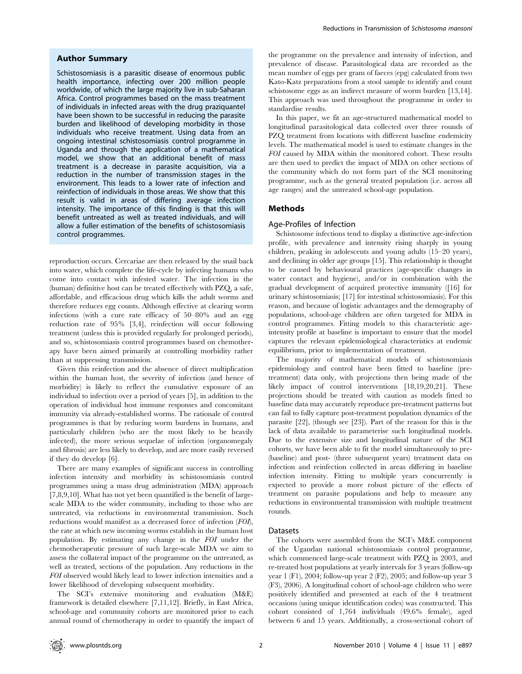#### Author Summary

Schistosomiasis is a parasitic disease of enormous public health importance, infecting over 200 million people worldwide, of which the large majority live in sub-Saharan Africa. Control programmes based on the mass treatment of individuals in infected areas with the drug praziquantel have been shown to be successful in reducing the parasite burden and likelihood of developing morbidity in those individuals who receive treatment. Using data from an ongoing intestinal schistosomiasis control programme in Uganda and through the application of a mathematical model, we show that an additional benefit of mass treatment is a decrease in parasite acquisition, via a reduction in the number of transmission stages in the environment. This leads to a lower rate of infection and reinfection of individuals in those areas. We show that this result is valid in areas of differing average infection intensity. The importance of this finding is that this will benefit untreated as well as treated individuals, and will allow a fuller estimation of the benefits of schistosomiasis control programmes.

reproduction occurs. Cercariae are then released by the snail back into water, which complete the life-cycle by infecting humans who come into contact with infested water. The infection in the (human) definitive host can be treated effectively with PZQ, a safe, affordable, and efficacious drug which kills the adult worms and therefore reduces egg counts. Although effective at clearing worm infections (with a cure rate efficacy of 50–80% and an egg reduction rate of 95% [3,4], reinfection will occur following treatment (unless this is provided regularly for prolonged periods), and so, schistosomiasis control programmes based on chemotherapy have been aimed primarily at controlling morbidity rather than at suppressing transmission.

Given this reinfection and the absence of direct multiplication within the human host, the severity of infection (and hence of morbidity) is likely to reflect the cumulative exposure of an individual to infection over a period of years [5], in addition to the operation of individual host immune responses and concomitant immunity via already-established worms. The rationale of control programmes is that by reducing worm burdens in humans, and particularly children (who are the most likely to be heavily infected), the more serious sequelae of infection (organomegaly and fibrosis) are less likely to develop, and are more easily reversed if they do develop [6].

There are many examples of significant success in controlling infection intensity and morbidity in schistosomiasis control programmes using a mass drug administration (MDA) approach [7,8,9,10]. What has not yet been quantified is the benefit of largescale MDA to the wider community, including to those who are untreated, via reductions in environmental transmission. Such reductions would manifest as a decreased force of infection (FOI), the rate at which new incoming worms establish in the human host population. By estimating any change in the FOI under the chemotherapeutic pressure of such large-scale MDA we aim to assess the collateral impact of the programme on the untreated, as well as treated, sections of the population. Any reductions in the FOI observed would likely lead to lower infection intensities and a lower likelihood of developing subsequent morbidity.

The SCI's extensive monitoring and evaluation (M&E) framework is detailed elsewhere [7,11,12]. Briefly, in East Africa, school-age and community cohorts are monitored prior to each annual round of chemotherapy in order to quantify the impact of the programme on the prevalence and intensity of infection, and prevalence of disease. Parasitological data are recorded as the mean number of eggs per gram of faeces (epg) calculated from two Kato-Katz preparations from a stool sample to identify and count schistosome eggs as an indirect measure of worm burden [13,14]. This approach was used throughout the programme in order to standardise results.

In this paper, we fit an age-structured mathematical model to longitudinal parasitological data collected over three rounds of PZQ treatment from locations with different baseline endemicity levels. The mathematical model is used to estimate changes in the FOI caused by MDA within the monitored cohort. These results are then used to predict the impact of MDA on other sections of the community which do not form part of the SCI monitoring programme, such as the general treated population (i.e. across all age ranges) and the untreated school-age population.

## Methods

## Age-Profiles of Infection

Schistosome infections tend to display a distinctive age-infection profile, with prevalence and intensity rising sharply in young children, peaking in adolescents and young adults (15–20 years), and declining in older age groups [15]. This relationship is thought to be caused by behavioural practices (age-specific changes in water contact and hygiene), and/or in combination with the gradual development of acquired protective immunity ([16] for urinary schistosomiasis; [17] for intestinal schistosomiasis). For this reason, and because of logistic advantages and the demography of populations, school-age children are often targeted for MDA in control programmes. Fitting models to this characteristic ageintensity profile at baseline is important to ensure that the model captures the relevant epidemiological characteristics at endemic equilibrium, prior to implementation of treatment.

The majority of mathematical models of schistosomiasis epidemiology and control have been fitted to baseline (pretreatment) data only, with projections then being made of the likely impact of control interventions [18,19,20,21]. These projections should be treated with caution as models fitted to baseline data may accurately reproduce pre-treatment patterns but can fail to fully capture post-treatment population dynamics of the parasite [22], (though see [23]). Part of the reason for this is the lack of data available to parameterise such longitudinal models. Due to the extensive size and longitudinal nature of the SCI cohorts, we have been able to fit the model simultaneously to pre- (baseline) and post- (three subsequent years) treatment data on infection and reinfection collected in areas differing in baseline infection intensity. Fitting to multiple years concurrently is expected to provide a more robust picture of the effects of treatment on parasite populations and help to measure any reductions in environmental transmission with multiple treatment rounds.

### Datasets

The cohorts were assembled from the SCI's M&E component of the Ugandan national schistosomiasis control programme, which commenced large-scale treatment with PZQ in 2003, and re-treated host populations at yearly intervals for 3 years (follow-up year 1 (F1), 2004; follow-up year 2 (F2), 2005; and follow-up year 3 (F3), 2006). A longitudinal cohort of school-age children who were positively identified and presented at each of the 4 treatment occasions (using unique identification codes) was constructed. This cohort consisted of 1,764 individuals (49.6% female), aged between 6 and 15 years. Additionally, a cross-sectional cohort of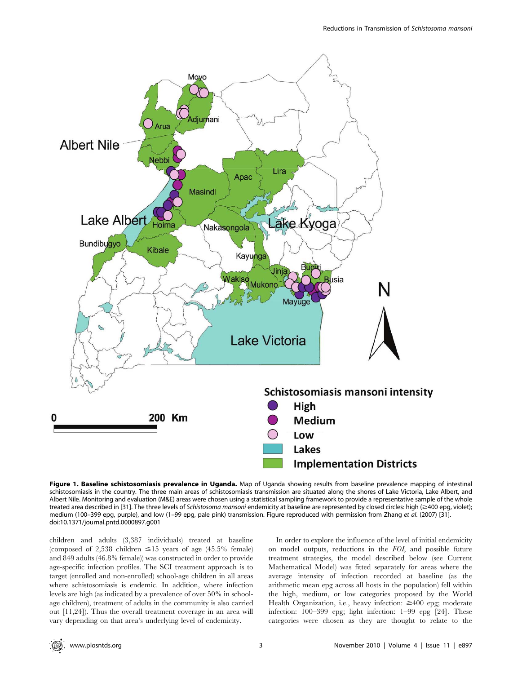

Figure 1. Baseline schistosomiasis prevalence in Uganda. Map of Uganda showing results from baseline prevalence mapping of intestinal schistosomiasis in the country. The three main areas of schistosomiasis transmission are situated along the shores of Lake Victoria, Lake Albert, and Albert Nile. Monitoring and evaluation (M&E) areas were chosen using a statistical sampling framework to provide a representative sample of the whole treated area described in [31]. The three levels of Schistosoma mansoni endemicity at baseline are represented by closed circles: high ( $\geq$ 400 epg, violet); medium (100–399 epg, purple), and low (1–99 epg, pale pink) transmission. Figure reproduced with permission from Zhang et al. (2007) [31]. doi:10.1371/journal.pntd.0000897.g001

children and adults (3,387 individuals) treated at baseline (composed of 2,538 children  $\leq 15$  years of age (45.5% female) and 849 adults (46.8% female)) was constructed in order to provide age-specific infection profiles. The SCI treatment approach is to target (enrolled and non-enrolled) school-age children in all areas where schistosomiasis is endemic. In addition, where infection levels are high (as indicated by a prevalence of over 50% in schoolage children), treatment of adults in the community is also carried out [11,24]). Thus the overall treatment coverage in an area will vary depending on that area's underlying level of endemicity.

In order to explore the influence of the level of initial endemicity on model outputs, reductions in the FOI, and possible future treatment strategies, the model described below (see Current Mathematical Model) was fitted separately for areas where the average intensity of infection recorded at baseline (as the arithmetic mean epg across all hosts in the population) fell within the high, medium, or low categories proposed by the World Health Organization, i.e., heavy infection:  $\geq 400$  epg; moderate infection: 100–399 epg; light infection: 1–99 epg [24]. These categories were chosen as they are thought to relate to the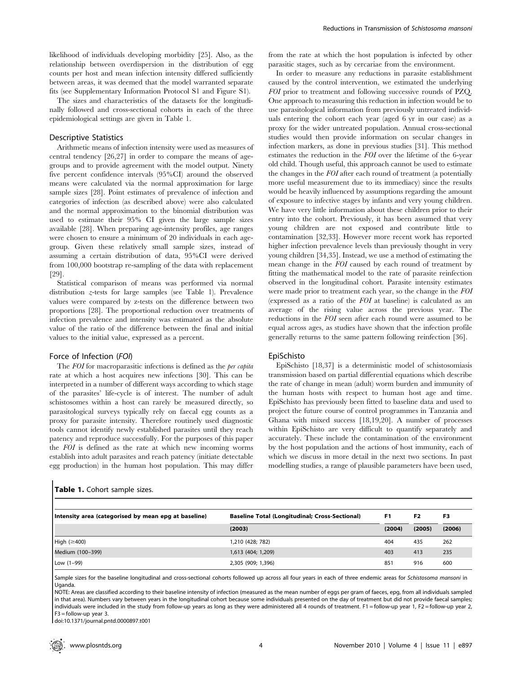likelihood of individuals developing morbidity [25]. Also, as the relationship between overdispersion in the distribution of egg counts per host and mean infection intensity differed sufficiently between areas, it was deemed that the model warranted separate fits (see Supplementary Information Protocol S1 and Figure S1).

The sizes and characteristics of the datasets for the longitudinally followed and cross-sectional cohorts in each of the three epidemiological settings are given in Table 1.

#### Descriptive Statistics

Arithmetic means of infection intensity were used as measures of central tendency [26,27] in order to compare the means of agegroups and to provide agreement with the model output. Ninety five percent confidence intervals (95%CI) around the observed means were calculated via the normal approximation for large sample sizes [28]. Point estimates of prevalence of infection and categories of infection (as described above) were also calculated and the normal approximation to the binomial distribution was used to estimate their 95% CI given the large sample sizes available [28]. When preparing age-intensity profiles, age ranges were chosen to ensure a minimum of 20 individuals in each agegroup. Given these relatively small sample sizes, instead of assuming a certain distribution of data, 95%CI were derived from 100,000 bootstrap re-sampling of the data with replacement [29].

Statistical comparison of means was performed via normal distribution  $z$ -tests for large samples (see Table 1). Prevalence values were compared by z-tests on the difference between two proportions [28]. The proportional reduction over treatments of infection prevalence and intensity was estimated as the absolute value of the ratio of the difference between the final and initial values to the initial value, expressed as a percent.

## Force of Infection (FOI)

The FOI for macroparasitic infections is defined as the *per capita* rate at which a host acquires new infections [30]. This can be interpreted in a number of different ways according to which stage of the parasites' life-cycle is of interest. The number of adult schistosomes within a host can rarely be measured directly, so parasitological surveys typically rely on faecal egg counts as a proxy for parasite intensity. Therefore routinely used diagnostic tools cannot identify newly established parasites until they reach patency and reproduce successfully. For the purposes of this paper the FOI is defined as the rate at which new incoming worms establish into adult parasites and reach patency (initiate detectable egg production) in the human host population. This may differ

Table 1. Cohort sample sizes.

from the rate at which the host population is infected by other parasitic stages, such as by cercariae from the environment.

In order to measure any reductions in parasite establishment caused by the control intervention, we estimated the underlying FOI prior to treatment and following successive rounds of PZQ. One approach to measuring this reduction in infection would be to use parasitological information from previously untreated individuals entering the cohort each year (aged 6 yr in our case) as a proxy for the wider untreated population. Annual cross-sectional studies would then provide information on secular changes in infection markers, as done in previous studies [31]. This method estimates the reduction in the FOI over the lifetime of the 6-year old child. Though useful, this approach cannot be used to estimate the changes in the FOI after each round of treatment (a potentially more useful measurement due to its immediacy) since the results would be heavily influenced by assumptions regarding the amount of exposure to infective stages by infants and very young children. We have very little information about these children prior to their entry into the cohort. Previously, it has been assumed that very young children are not exposed and contribute little to contamination [32,33]. However more recent work has reported higher infection prevalence levels than previously thought in very young children [34,35]. Instead, we use a method of estimating the mean change in the FOI caused by each round of treatment by fitting the mathematical model to the rate of parasite reinfection observed in the longitudinal cohort. Parasite intensity estimates were made prior to treatment each year, so the change in the FOI (expressed as a ratio of the FOI at baseline) is calculated as an average of the rising value across the previous year. The reductions in the FOI seen after each round were assumed to be equal across ages, as studies have shown that the infection profile generally returns to the same pattern following reinfection [36].

#### EpiSchisto

EpiSchisto [18,37] is a deterministic model of schistosomiasis transmission based on partial differential equations which describe the rate of change in mean (adult) worm burden and immunity of the human hosts with respect to human host age and time. EpiSchisto has previously been fitted to baseline data and used to project the future course of control programmes in Tanzania and Ghana with mixed success [18,19,20]. A number of processes within EpiSchisto are very difficult to quantify separately and accurately. These include the contamination of the environment by the host population and the actions of host immunity, each of which we discuss in more detail in the next two sections. In past modelling studies, a range of plausible parameters have been used,

| Intensity area (categorised by mean epg at baseline) | <b>Baseline Total (Longitudinal; Cross-Sectional)</b> | F1     | F2     | F3     |
|------------------------------------------------------|-------------------------------------------------------|--------|--------|--------|
|                                                      | (2003)                                                | (2004) | (2005) | (2006) |
| High $(\geq 400)$                                    | 1,210 (428; 782)                                      | 404    | 435    | 262    |
| Medium (100-399)                                     | 1,613 (404; 1,209)                                    | 403    | 413    | 235    |
| Low $(1-99)$                                         | 2,305 (909; 1,396)                                    | 851    | 916    | 600    |

Sample sizes for the baseline longitudinal and cross-sectional cohorts followed up across all four years in each of three endemic areas for Schistosoma mansoni in Uganda.

NOTE: Areas are classified according to their baseline intensity of infection (measured as the mean number of eggs per gram of faeces, epg, from all individuals sampled in that area). Numbers vary between years in the longitudinal cohort because some individuals presented on the day of treatment but did not provide faecal samples; individuals were included in the study from follow-up years as long as they were administered all 4 rounds of treatment. F1 = follow-up year 1, F2 = follow-up year 2, F3 = follow-up year 3.

doi:10.1371/journal.pntd.0000897.t001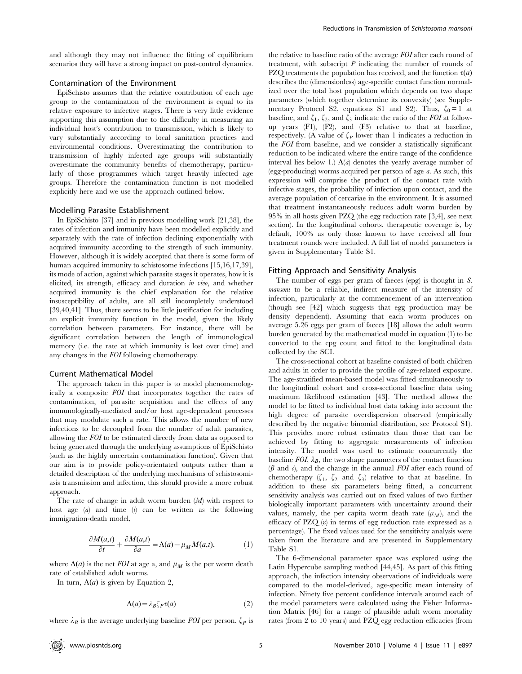and although they may not influence the fitting of equilibrium scenarios they will have a strong impact on post-control dynamics.

## Contamination of the Environment

EpiSchisto assumes that the relative contribution of each age group to the contamination of the environment is equal to its relative exposure to infective stages. There is very little evidence supporting this assumption due to the difficulty in measuring an individual host's contribution to transmission, which is likely to vary substantially according to local sanitation practices and environmental conditions. Overestimating the contribution to transmission of highly infected age groups will substantially overestimate the community benefits of chemotherapy, particularly of those programmes which target heavily infected age groups. Therefore the contamination function is not modelled explicitly here and we use the approach outlined below.

#### Modelling Parasite Establishment

In EpiSchisto [37] and in previous modelling work [21,38], the rates of infection and immunity have been modelled explicitly and separately with the rate of infection declining exponentially with acquired immunity according to the strength of such immunity. However, although it is widely accepted that there is some form of human acquired immunity to schistosome infections [15,16,17,39], its mode of action, against which parasite stages it operates, how it is elicited, its strength, efficacy and duration in vivo, and whether acquired immunity is the chief explanation for the relative insusceptibility of adults, are all still incompletely understood [39,40,41]. Thus, there seems to be little justification for including an explicit immunity function in the model, given the likely correlation between parameters. For instance, there will be significant correlation between the length of immunological memory (i.e. the rate at which immunity is lost over time) and any changes in the FOI following chemotherapy.

#### Current Mathematical Model

The approach taken in this paper is to model phenomenologically a composite FOI that incorporates together the rates of contamination, of parasite acquisition and the effects of any immunologically-mediated and/or host age-dependent processes that may modulate such a rate. This allows the number of new infections to be decoupled from the number of adult parasites, allowing the FOI to be estimated directly from data as opposed to being generated through the underlying assumptions of EpiSchisto (such as the highly uncertain contamination function). Given that our aim is to provide policy-orientated outputs rather than a detailed description of the underlying mechanisms of schistosomiasis transmission and infection, this should provide a more robust approach.

The rate of change in adult worm burden  $(M)$  with respect to host age  $(a)$  and time  $(b)$  can be written as the following immigration-death model,

$$
\frac{\partial M(a,t)}{\partial t} + \frac{\partial M(a,t)}{\partial a} = \Lambda(a) - \mu_M M(a,t),\tag{1}
$$

where  $\Lambda(a)$  is the net FOI at age a, and  $\mu_M$  is the per worm death rate of established adult worms.

In turn,  $\Lambda(a)$  is given by Equation 2,

$$
\Lambda(a) = \lambda_B \zeta_P \tau(a) \tag{2}
$$

where  $\lambda_B$  is the average underlying baseline FOI per person,  $\zeta_P$  is

the relative to baseline ratio of the average FOI after each round of treatment, with subscript  $P$  indicating the number of rounds of PZQ treatments the population has received, and the function  $\tau(a)$ describes the (dimensionless) age-specific contact function normalized over the total host population which depends on two shape parameters (which together determine its convexity) (see Supplementary Protocol S2, equations S1 and S2). Thus,  $\zeta_0 = 1$  at baseline, and  $\zeta_1$ ,  $\zeta_2$ , and  $\zeta_3$  indicate the ratio of the FOI at followup years (F1), (F2), and (F3) relative to that at baseline, respectively. (A value of  $\zeta_P$  lower than 1 indicates a reduction in the FOI from baseline, and we consider a statistically significant reduction to be indicated where the entire range of the confidence interval lies below 1.)  $\Lambda$ (a) denotes the yearly average number of (egg-producing) worms acquired per person of age a. As such, this expression will comprise the product of the contact rate with infective stages, the probability of infection upon contact, and the average population of cercariae in the environment. It is assumed that treatment instantaneously reduces adult worm burden by 95% in all hosts given PZQ (the egg reduction rate [3,4], see next section). In the longitudinal cohorts, therapeutic coverage is, by default, 100% as only those known to have received all four treatment rounds were included. A full list of model parameters is given in Supplementary Table S1.

#### Fitting Approach and Sensitivity Analysis

The number of eggs per gram of faeces (epg) is thought in S. mansoni to be a reliable, indirect measure of the intensity of infection, particularly at the commencement of an intervention (though see [42] which suggests that egg production may be density dependent). Assuming that each worm produces on average 5.26 eggs per gram of faeces [18] allows the adult worm burden generated by the mathematical model in equation (1) to be converted to the epg count and fitted to the longitudinal data collected by the SCI.

The cross-sectional cohort at baseline consisted of both children and adults in order to provide the profile of age-related exposure. The age-stratified mean-based model was fitted simultaneously to the longitudinal cohort and cross-sectional baseline data using maximum likelihood estimation [43]. The method allows the model to be fitted to individual host data taking into account the high degree of parasite overdispersion observed (empirically described by the negative binomial distribution, see Protocol S1). This provides more robust estimates than those that can be achieved by fitting to aggregate measurements of infection intensity. The model was used to estimate concurrently the baseline  $FOI$ ,  $\lambda_B$ , the two shape parameters of the contact function  $(\beta \text{ and } c)$ , and the change in the annual FOI after each round of chemotherapy  $(\zeta_1, \zeta_2 \text{ and } \zeta_3)$  relative to that at baseline. In addition to these six parameters being fitted, a concurrent sensitivity analysis was carried out on fixed values of two further biologically important parameters with uncertainty around their values, namely, the per capita worm death rate  $(\mu_M)$ , and the efficacy of PZQ  $(\varepsilon)$  in terms of egg reduction rate expressed as a percentage). The fixed values used for the sensitivity analysis were taken from the literature and are presented in Supplementary Table S1.

The 6-dimensional parameter space was explored using the Latin Hypercube sampling method [44,45]. As part of this fitting approach, the infection intensity observations of individuals were compared to the model-derived, age-specific mean intensity of infection. Ninety five percent confidence intervals around each of the model parameters were calculated using the Fisher Information Matrix [46] for a range of plausible adult worm mortality rates (from 2 to 10 years) and PZQ egg reduction efficacies (from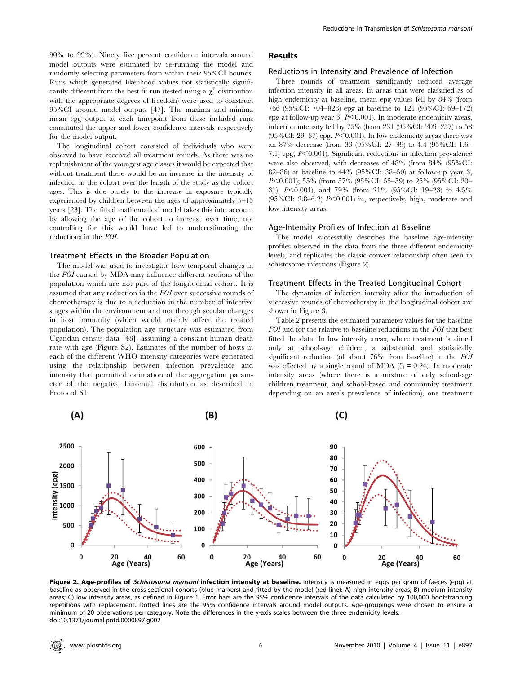90% to 99%). Ninety five percent confidence intervals around model outputs were estimated by re-running the model and randomly selecting parameters from within their 95%CI bounds. Runs which generated likelihood values not statistically significantly different from the best fit run (tested using a  $\chi^2$  distribution with the appropriate degrees of freedom) were used to construct 95%CI around model outputs [47]. The maxima and minima mean egg output at each timepoint from these included runs constituted the upper and lower confidence intervals respectively for the model output.

The longitudinal cohort consisted of individuals who were observed to have received all treatment rounds. As there was no replenishment of the youngest age classes it would be expected that without treatment there would be an increase in the intensity of infection in the cohort over the length of the study as the cohort ages. This is due purely to the increase in exposure typically experienced by children between the ages of approximately 5–15 years [23]. The fitted mathematical model takes this into account by allowing the age of the cohort to increase over time; not controlling for this would have led to underestimating the reductions in the FOI.

#### Treatment Effects in the Broader Population

The model was used to investigate how temporal changes in the FOI caused by MDA may influence different sections of the population which are not part of the longitudinal cohort. It is assumed that any reduction in the FOI over successive rounds of chemotherapy is due to a reduction in the number of infective stages within the environment and not through secular changes in host immunity (which would mainly affect the treated population). The population age structure was estimated from Ugandan census data [48], assuming a constant human death rate with age (Figure S2). Estimates of the number of hosts in each of the different WHO intensity categories were generated using the relationship between infection prevalence and intensity that permitted estimation of the aggregation parameter of the negative binomial distribution as described in Protocol S1.

## Results

#### Reductions in Intensity and Prevalence of Infection

Three rounds of treatment significantly reduced average infection intensity in all areas. In areas that were classified as of high endemicity at baseline, mean epg values fell by 84% (from 766 (95%CI: 704–828) epg at baseline to 121 (95%CI: 69–172) epg at follow-up year  $3, P<0.001$ ). In moderate endemicity areas, infection intensity fell by 75% (from 231 (95%CI: 209–257) to 58  $(95\% CI: 29-87)$  epg,  $P<0.001$ ). In low endemicity areas there was an 87% decrease (from 33 (95%CI: 27–39) to 4.4 (95%CI: 1.6– 7.1) epg,  $P<0.001$ ). Significant reductions in infection prevalence were also observed, with decreases of 48% (from 84% (95%CI: 82–86) at baseline to 44% (95%CI: 38–50) at follow-up year 3, P<0.001); 55% (from 57% (95%CI: 55–59) to 25% (95%CI: 20– 31), P<0.001), and 79% (from 21% (95%CI: 19–23) to 4.5% (95%CI: 2.8–6.2)  $P<0.001$ ) in, respectively, high, moderate and low intensity areas.

#### Age-Intensity Profiles of Infection at Baseline

The model successfully describes the baseline age-intensity profiles observed in the data from the three different endemicity levels, and replicates the classic convex relationship often seen in schistosome infections (Figure 2).

#### Treatment Effects in the Treated Longitudinal Cohort

The dynamics of infection intensity after the introduction of successive rounds of chemotherapy in the longitudinal cohort are shown in Figure 3.

Table 2 presents the estimated parameter values for the baseline FOI and for the relative to baseline reductions in the FOI that best fitted the data. In low intensity areas, where treatment is aimed only at school-age children, a substantial and statistically significant reduction (of about 76% from baseline) in the FOI was effected by a single round of MDA ( $\zeta_1 = 0.24$ ). In moderate intensity areas (where there is a mixture of only school-age children treatment, and school-based and community treatment depending on an area's prevalence of infection), one treatment



 $(B)$ 

Figure 2. Age-profiles of *Schistosoma mansoni* infection intensity at baseline. Intensity is measured in eggs per gram of faeces (epg) at baseline as observed in the cross-sectional cohorts (blue markers) and fitted by the model (red line): A) high intensity areas; B) medium intensity areas; C) low intensity areas, as defined in Figure 1. Error bars are the 95% confidence intervals of the data calculated by 100,000 bootstrapping repetitions with replacement. Dotted lines are the 95% confidence intervals around model outputs. Age-groupings were chosen to ensure a minimum of 20 observations per category. Note the differences in the y-axis scales between the three endemicity levels. doi:10.1371/journal.pntd.0000897.g002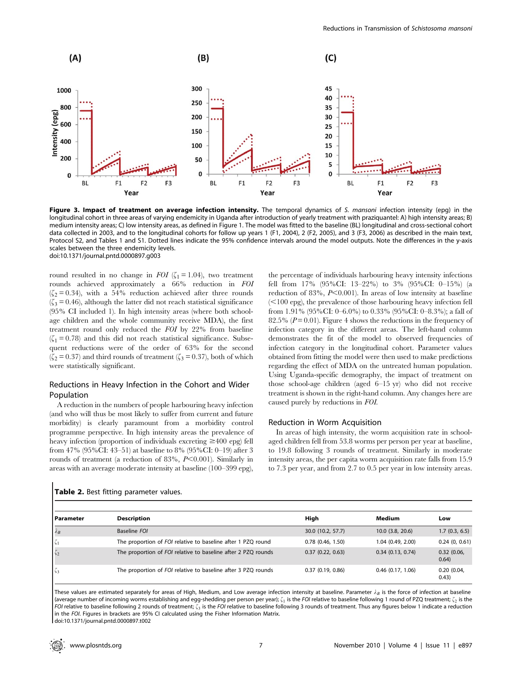

Figure 3. Impact of treatment on average infection intensity. The temporal dynamics of S. mansoni infection intensity (epg) in the longitudinal cohort in three areas of varying endemicity in Uganda after introduction of yearly treatment with praziquantel: A) high intensity areas; B) medium intensity areas; C) low intensity areas, as defined in Figure 1. The model was fitted to the baseline (BL) longitudinal and cross-sectional cohort data collected in 2003, and to the longitudinal cohorts for follow up years 1 (F1, 2004), 2 (F2, 2005), and 3 (F3, 2006) as described in the main text, Protocol S2, and Tables 1 and S1. Dotted lines indicate the 95% confidence intervals around the model outputs. Note the differences in the y-axis scales between the three endemicity levels. doi:10.1371/journal.pntd.0000897.g003

round resulted in no change in FOI ( $\zeta_1 = 1.04$ ), two treatment rounds achieved approximately a 66% reduction in FOI  $(\zeta_2 = 0.34)$ , with a 54% reduction achieved after three rounds  $(\zeta_3 = 0.46)$ , although the latter did not reach statistical significance (95% CI included 1). In high intensity areas (where both schoolage children and the whole community receive MDA), the first treatment round only reduced the FOI by 22% from baseline  $(\zeta_1 = 0.78)$  and this did not reach statistical significance. Subsequent reductions were of the order of 63% for the second  $(\zeta_2 = 0.37)$  and third rounds of treatment  $(\zeta_3 = 0.37)$ , both of which were statistically significant.

## Reductions in Heavy Infection in the Cohort and Wider Population

A reduction in the numbers of people harbouring heavy infection (and who will thus be most likely to suffer from current and future morbidity) is clearly paramount from a morbidity control programme perspective. In high intensity areas the prevalence of heavy infection (proportion of individuals excreting  $\geq$ 400 epg) fell from 47% (95%CI: 43–51) at baseline to 8% (95%CI: 0–19) after 3 rounds of treatment (a reduction of 83%,  $P<0.001$ ). Similarly in areas with an average moderate intensity at baseline (100–399 epg),

the percentage of individuals harbouring heavy intensity infections fell from 17% (95%CI: 13–22%) to 3% (95%CI: 0–15%) (a reduction of 83%,  $P<0.001$ ). In areas of low intensity at baseline  $(<100$  epg), the prevalence of those harbouring heavy infection fell from 1.91% (95%CI: 0–6.0%) to 0.33% (95%CI: 0–8.3%); a fall of 82.5% ( $P = 0.01$ ). Figure 4 shows the reductions in the frequency of infection category in the different areas. The left-hand column demonstrates the fit of the model to observed frequencies of infection category in the longitudinal cohort. Parameter values obtained from fitting the model were then used to make predictions regarding the effect of MDA on the untreated human population. Using Uganda-specific demography, the impact of treatment on those school-age children (aged 6–15 yr) who did not receive treatment is shown in the right-hand column. Any changes here are caused purely by reductions in FOI.

## Reduction in Worm Acquisition

In areas of high intensity, the worm acquisition rate in schoolaged children fell from 53.8 worms per person per year at baseline, to 19.8 following 3 rounds of treatment. Similarly in moderate intensity areas, the per capita worm acquisition rate falls from 15.9 to 7.3 per year, and from 2.7 to 0.5 per year in low intensity areas.

| l Parameter | <b>Description</b>                                            | Hiah                  | Medium                | Low                 |
|-------------|---------------------------------------------------------------|-----------------------|-----------------------|---------------------|
| $\lambda_B$ | Baseline FOI                                                  | 30.0 (10.2, 57.7)     | $10.0$ $(3.8, 20.6)$  | 1.7(0.3, 6.5)       |
| $\zeta_1$   | The proportion of FOI relative to baseline after 1 PZQ round  | $0.78$ $(0.46, 1.50)$ | 1.04(0.49, 2.00)      | 0.24(0, 0.61)       |
| $\zeta_2$   | The proportion of FOI relative to baseline after 2 PZQ rounds | 0.37(0.22, 0.63)      | $0.34$ $(0.13, 0.74)$ | 0.32(0.06,<br>0.64) |
| $\zeta_3$   | The proportion of FOI relative to baseline after 3 PZQ rounds | 0.37(0.19, 0.86)      | $0.46$ (0.17, 1.06)   | 0.20(0.04,<br>0.43) |

Table 2. Best fitting parameter values.

These values are estimated separately for areas of High, Medium, and Low average infection intensity at baseline. Parameter  $\lambda_B$  is the force of infection at baseline (average number of incoming worms establishing and egg-shedding per person per year);  $\zeta_1$  is the FOI relative to baseline following 1 round of PZQ treatment;  $\zeta_2$  is the FOI relative to baseline following 2 rounds of treatment;  $\zeta_3$  is the FOI relative to baseline following 3 rounds of treatment. Thus any figures below 1 indicate a reduction in the FOI. Figures in brackets are 95% CI calculated using the Fisher Information Matrix. doi:10.1371/journal.pntd.0000897.t002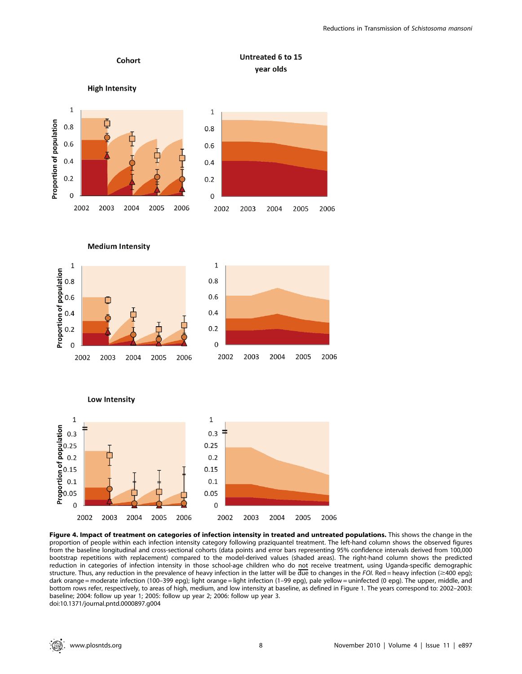

**Medium Intensity** 



Low Intensity



Figure 4. Impact of treatment on categories of infection intensity in treated and untreated populations. This shows the change in the proportion of people within each infection intensity category following praziquantel treatment. The left-hand column shows the observed figures from the baseline longitudinal and cross-sectional cohorts (data points and error bars representing 95% confidence intervals derived from 100,000 bootstrap repetitions with replacement) compared to the model-derived values (shaded areas). The right-hand column shows the predicted reduction in categories of infection intensity in those school-age children who do not receive treatment, using Uganda-specific demographic structure. Thus, any reduction in the prevalence of heavy infection in the latter will be due to changes in the FOI. Red = heavy infection ( $\geq$ 400 epg); dark orange = moderate infection (100–399 epg); light orange = light infection (1–99 epg), pale yellow = uninfected (0 epg). The upper, middle, and bottom rows refer, respectively, to areas of high, medium, and low intensity at baseline, as defined in Figure 1. The years correspond to: 2002–2003: baseline; 2004: follow up year 1; 2005: follow up year 2; 2006: follow up year 3. doi:10.1371/journal.pntd.0000897.g004

2004

2005

2006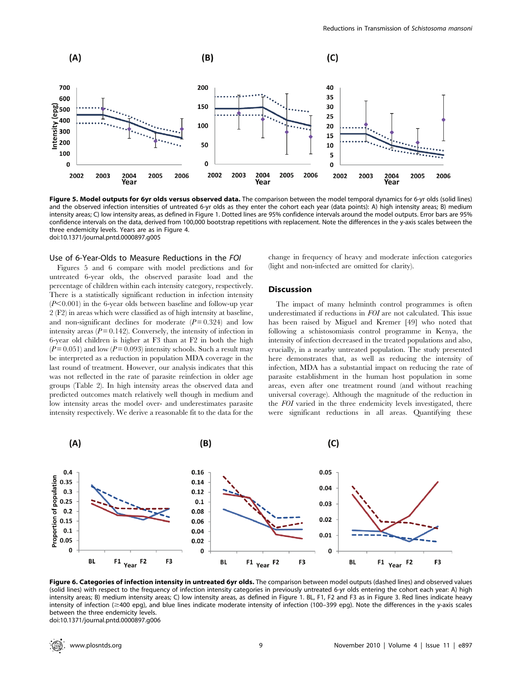

Figure 5. Model outputs for 6yr olds versus observed data. The comparison between the model temporal dynamics for 6-yr olds (solid lines) and the observed infection intensities of untreated 6-yr olds as they enter the cohort each year (data points): A) high intensity areas; B) medium intensity areas; C) low intensity areas, as defined in Figure 1. Dotted lines are 95% confidence intervals around the model outputs. Error bars are 95% confidence intervals on the data, derived from 100,000 bootstrap repetitions with replacement. Note the differences in the y-axis scales between the three endemicity levels. Years are as in Figure 4. doi:10.1371/journal.pntd.0000897.g005

#### Use of 6-Year-Olds to Measure Reductions in the FOI

Figures 5 and 6 compare with model predictions and for untreated 6-year olds, the observed parasite load and the percentage of children within each intensity category, respectively. There is a statistically significant reduction in infection intensity  $(P<0.001)$  in the 6-year olds between baseline and follow-up year 2 (F2) in areas which were classified as of high intensity at baseline, and non-significant declines for moderate  $(P= 0.324)$  and low intensity areas  $(P = 0.142)$ . Conversely, the intensity of infection in 6-year old children is higher at F3 than at F2 in both the high  $(P = 0.051)$  and low  $(P = 0.093)$  intensity schools. Such a result may be interpreted as a reduction in population MDA coverage in the last round of treatment. However, our analysis indicates that this was not reflected in the rate of parasite reinfection in older age groups (Table 2). In high intensity areas the observed data and predicted outcomes match relatively well though in medium and low intensity areas the model over- and underestimates parasite intensity respectively. We derive a reasonable fit to the data for the change in frequency of heavy and moderate infection categories (light and non-infected are omitted for clarity).

#### **Discussion**

The impact of many helminth control programmes is often underestimated if reductions in FOI are not calculated. This issue has been raised by Miguel and Kremer [49] who noted that following a schistosomiasis control programme in Kenya, the intensity of infection decreased in the treated populations and also, crucially, in a nearby untreated population. The study presented here demonstrates that, as well as reducing the intensity of infection, MDA has a substantial impact on reducing the rate of parasite establishment in the human host population in some areas, even after one treatment round (and without reaching universal coverage). Although the magnitude of the reduction in the FOI varied in the three endemicity levels investigated, there were significant reductions in all areas. Quantifying these



Figure 6. Categories of infection intensity in untreated 6yr olds. The comparison between model outputs (dashed lines) and observed values (solid lines) with respect to the frequency of infection intensity categories in previously untreated 6-yr olds entering the cohort each year: A) high intensity areas; B) medium intensity areas; C) low intensity areas, as defined in Figure 1. BL, F1, F2 and F3 as in Figure 3. Red lines indicate heavy intensity of infection ( $\geq$ 400 epg), and blue lines indicate moderate intensity of infection (100–399 epg). Note the differences in the y-axis scales between the three endemicity levels. doi:10.1371/journal.pntd.0000897.g006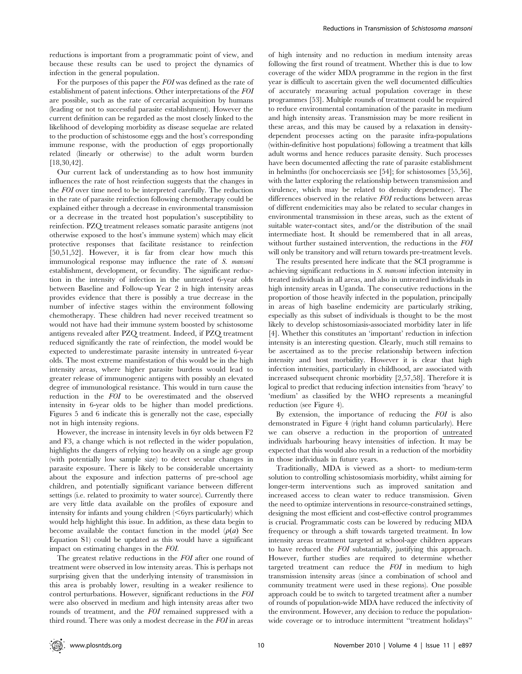reductions is important from a programmatic point of view, and because these results can be used to project the dynamics of infection in the general population.

For the purposes of this paper the FOI was defined as the rate of establishment of patent infections. Other interpretations of the FOI are possible, such as the rate of cercarial acquisition by humans (leading or not to successful parasite establishment). However the current definition can be regarded as the most closely linked to the likelihood of developing morbidity as disease sequelae are related to the production of schistosome eggs and the host's corresponding immune response, with the production of eggs proportionally related (linearly or otherwise) to the adult worm burden [18,30,42].

Our current lack of understanding as to how host immunity influences the rate of host reinfection suggests that the changes in the FOI over time need to be interpreted carefully. The reduction in the rate of parasite reinfection following chemotherapy could be explained either through a decrease in environmental transmission or a decrease in the treated host population's susceptibility to reinfection. PZQ treatment releases somatic parasite antigens (not otherwise exposed to the host's immune system) which may elicit protective responses that facilitate resistance to reinfection [50,51,52]. However, it is far from clear how much this immunological response may influence the rate of S. mansoni establishment, development, or fecundity. The significant reduction in the intensity of infection in the untreated 6-year olds between Baseline and Follow-up Year 2 in high intensity areas provides evidence that there is possibly a true decrease in the number of infective stages within the environment following chemotherapy. These children had never received treatment so would not have had their immune system boosted by schistosome antigens revealed after PZQ treatment. Indeed, if PZQ treatment reduced significantly the rate of reinfection, the model would be expected to underestimate parasite intensity in untreated 6-year olds. The most extreme manifestation of this would be in the high intensity areas, where higher parasite burdens would lead to greater release of immunogenic antigens with possibly an elevated degree of immunological resistance. This would in turn cause the reduction in the FOI to be overestimated and the observed intensity in 6-year olds to be higher than model predictions. Figures 5 and 6 indicate this is generally not the case, especially not in high intensity regions.

However, the increase in intensity levels in 6yr olds between F2 and F3, a change which is not reflected in the wider population, highlights the dangers of relying too heavily on a single age group (with potentially low sample size) to detect secular changes in parasite exposure. There is likely to be considerable uncertainty about the exposure and infection patterns of pre-school age children, and potentially significant variance between different settings (i.e. related to proximity to water source). Currently there are very little data available on the profiles of exposure and intensity for infants and young children  $(*6* yrs$  particularly) which would help highlight this issue. In addition, as these data begin to become available the contact function in the model  $(\rho(a))$  See Equation S1) could be updated as this would have a significant impact on estimating changes in the FOI.

The greatest relative reductions in the FOI after one round of treatment were observed in low intensity areas. This is perhaps not surprising given that the underlying intensity of transmission in this area is probably lower, resulting in a weaker resilience to control perturbations. However, significant reductions in the FOI were also observed in medium and high intensity areas after two rounds of treatment, and the FOI remained suppressed with a third round. There was only a modest decrease in the FOI in areas

of high intensity and no reduction in medium intensity areas following the first round of treatment. Whether this is due to low coverage of the wider MDA programme in the region in the first year is difficult to ascertain given the well documented difficulties of accurately measuring actual population coverage in these programmes [53]. Multiple rounds of treatment could be required to reduce environmental contamination of the parasite in medium and high intensity areas. Transmission may be more resilient in these areas, and this may be caused by a relaxation in densitydependent processes acting on the parasite infra-populations (within-definitive host populations) following a treatment that kills adult worms and hence reduces parasite density. Such processes have been documented affecting the rate of parasite establishment in helminths (for onchocerciasis see [54]; for schistosomes [55,56], with the latter exploring the relationship between transmission and virulence, which may be related to density dependence). The differences observed in the relative FOI reductions between areas of different endemicities may also be related to secular changes in environmental transmission in these areas, such as the extent of suitable water-contact sites, and/or the distribution of the snail intermediate host. It should be remembered that in all areas, without further sustained intervention, the reductions in the FOI will only be transitory and will return towards pre-treatment levels.

The results presented here indicate that the SCI programme is achieving significant reductions in S. mansoni infection intensity in treated individuals in all areas, and also in untreated individuals in high intensity areas in Uganda. The consecutive reductions in the proportion of those heavily infected in the population, principally in areas of high baseline endemicity are particularly striking, especially as this subset of individuals is thought to be the most likely to develop schistosomiasis-associated morbidity later in life [4]. Whether this constitutes an 'important' reduction in infection intensity is an interesting question. Clearly, much still remains to be ascertained as to the precise relationship between infection intensity and host morbidity. However it is clear that high infection intensities, particularly in childhood, are associated with increased subsequent chronic morbidity [2,57,58]. Therefore it is logical to predict that reducing infection intensities from 'heavy' to 'medium' as classified by the WHO represents a meaningful reduction (see Figure 4).

By extension, the importance of reducing the FOI is also demonstrated in Figure 4 (right hand column particularly). Here we can observe a reduction in the proportion of untreated individuals harbouring heavy intensities of infection. It may be expected that this would also result in a reduction of the morbidity in those individuals in future years.

Traditionally, MDA is viewed as a short- to medium-term solution to controlling schistosomiasis morbidity, whilst aiming for longer-term interventions such as improved sanitation and increased access to clean water to reduce transmission. Given the need to optimize interventions in resource-constrained settings, designing the most efficient and cost-effective control programmes is crucial. Programmatic costs can be lowered by reducing MDA frequency or through a shift towards targeted treatment. In low intensity areas treatment targeted at school-age children appears to have reduced the FOI substantially, justifying this approach. However, further studies are required to determine whether targeted treatment can reduce the FOI in medium to high transmission intensity areas (since a combination of school and community treatment were used in these regions). One possible approach could be to switch to targeted treatment after a number of rounds of population-wide MDA have reduced the infectivity of the environment. However, any decision to reduce the populationwide coverage or to introduce intermittent "treatment holidays"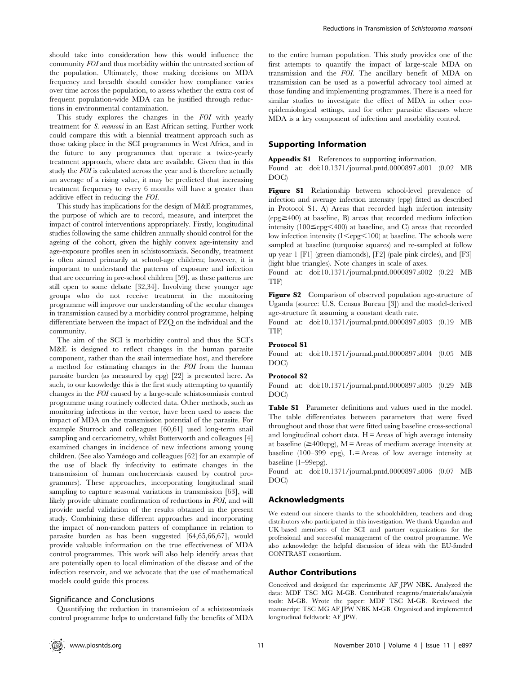should take into consideration how this would influence the community FOI and thus morbidity within the untreated section of the population. Ultimately, those making decisions on MDA frequency and breadth should consider how compliance varies over time across the population, to assess whether the extra cost of frequent population-wide MDA can be justified through reductions in environmental contamination.

This study explores the changes in the FOI with yearly treatment for S. mansoni in an East African setting. Further work could compare this with a biennial treatment approach such as those taking place in the SCI programmes in West Africa, and in the future to any programmes that operate a twice-yearly treatment approach, where data are available. Given that in this study the FOI is calculated across the year and is therefore actually an average of a rising value, it may be predicted that increasing treatment frequency to every 6 months will have a greater than additive effect in reducing the FOI.

This study has implications for the design of M&E programmes, the purpose of which are to record, measure, and interpret the impact of control interventions appropriately. Firstly, longitudinal studies following the same children annually should control for the ageing of the cohort, given the highly convex age-intensity and age-exposure profiles seen in schistosomiasis. Secondly, treatment is often aimed primarily at school-age children; however, it is important to understand the patterns of exposure and infection that are occurring in pre-school children [59], as these patterns are still open to some debate [32,34]. Involving these younger age groups who do not receive treatment in the monitoring programme will improve our understanding of the secular changes in transmission caused by a morbidity control programme, helping differentiate between the impact of PZQ on the individual and the community.

The aim of the SCI is morbidity control and thus the SCI's M&E is designed to reflect changes in the human parasite component, rather than the snail intermediate host, and therefore a method for estimating changes in the FOI from the human parasite burden (as measured by epg) [22] is presented here. As such, to our knowledge this is the first study attempting to quantify changes in the FOI caused by a large-scale schistosomiasis control programme using routinely collected data. Other methods, such as monitoring infections in the vector, have been used to assess the impact of MDA on the transmission potential of the parasite. For example Sturrock and colleagues [60,61] used long-term snail sampling and cercariometry, whilst Butterworth and colleagues [4] examined changes in incidence of new infections among young children. (See also Yaméogo and colleagues [62] for an example of the use of black fly infectivity to estimate changes in the transmission of human onchocerciasis caused by control programmes). These approaches, incorporating longitudinal snail sampling to capture seasonal variations in transmission [63], will likely provide ultimate confirmation of reductions in FOI, and will provide useful validation of the results obtained in the present study. Combining these different approaches and incorporating the impact of non-random patters of compliance in relation to parasite burden as has been suggested [64,65,66,67], would provide valuable information on the true effectiveness of MDA control programmes. This work will also help identify areas that are potentially open to local elimination of the disease and of the infection reservoir, and we advocate that the use of mathematical models could guide this process.

## Significance and Conclusions

Quantifying the reduction in transmission of a schistosomiasis control programme helps to understand fully the benefits of MDA to the entire human population. This study provides one of the first attempts to quantify the impact of large-scale MDA on transmission and the FOI. The ancillary benefit of MDA on transmission can be used as a powerful advocacy tool aimed at those funding and implementing programmes. There is a need for similar studies to investigate the effect of MDA in other ecoepidemiological settings, and for other parasitic diseases where MDA is a key component of infection and morbidity control.

#### Supporting Information

Appendix S1 References to supporting information.

Found at: doi:10.1371/journal.pntd.0000897.s001 (0.02 MB DOC)

Figure S1 Relationship between school-level prevalence of infection and average infection intensity (epg) fitted as described in Protocol S1. A) Areas that recorded high infection intensity  $(epg \geq 400)$  at baseline, B) areas that recorded medium infection intensity  $(100 \leq \text{epg} \leq 400)$  at baseline, and C) areas that recorded low infection intensity  $(1 \leq epg \leq 100)$  at baseline. The schools were sampled at baseline (turquoise squares) and re-sampled at follow up year 1 [F1] (green diamonds), [F2] (pale pink circles), and [F3] (light blue triangles). Note changes in scale of axes.

Found at: doi:10.1371/journal.pntd.0000897.s002 (0.22 MB TIF)

Figure S2 Comparison of observed population age-structure of Uganda (source: U.S. Census Bureau [3]) and the model-derived age-structure fit assuming a constant death rate.

Found at: doi:10.1371/journal.pntd.0000897.s003 (0.19 MB TIF)

#### Protocol S1

Found at: doi:10.1371/journal.pntd.0000897.s004 (0.05 MB DOC)

#### Protocol S2

Found at: doi:10.1371/journal.pntd.0000897.s005 (0.29 MB DOC)

Table S1 Parameter definitions and values used in the model. The table differentiates between parameters that were fixed throughout and those that were fitted using baseline cross-sectional and longitudinal cohort data.  $H =$  Areas of high average intensity at baseline ( $\geq$ 400epg), M = Areas of medium average intensity at baseline (100–399 epg),  $L =$ Areas of low average intensity at baseline (1–99epg).

Found at: doi:10.1371/journal.pntd.0000897.s006 (0.07 MB DOC)

### Acknowledgments

We extend our sincere thanks to the schoolchildren, teachers and drug distributors who participated in this investigation. We thank Ugandan and UK-based members of the SCI and partner organizations for the professional and successful management of the control programme. We also acknowledge the helpful discussion of ideas with the EU-funded CONTRAST consortium.

#### Author Contributions

Conceived and designed the experiments: AF JPW NBK. Analyzed the data: MDF TSC MG M-GB. Contributed reagents/materials/analysis tools: M-GB. Wrote the paper: MDF TSC M-GB. Reviewed the manuscript: TSC MG AF JPW NBK M-GB. Organised and implemented longitudinal fieldwork: AF JPW.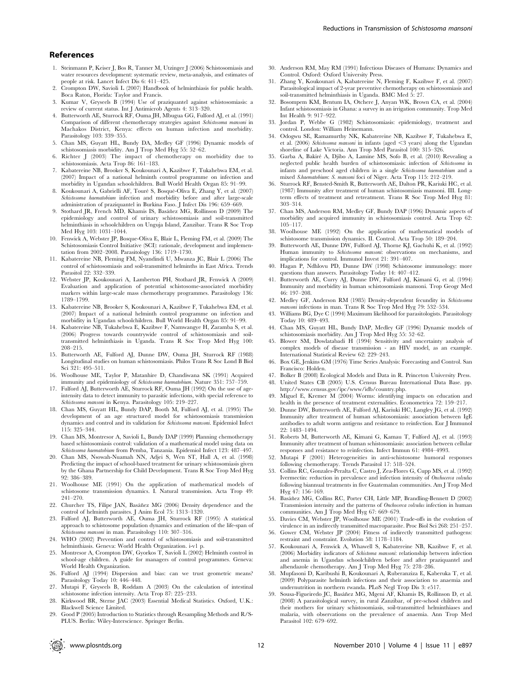- 1. Steinmann P, Keiser J, Bos R, Tanner M, Utzinger J (2006) Schistosomiasis and water resources development: systematic review, meta-analysis, and estimates of people at risk. Lancet Infect Dis 6: 411–425.
- 2. Crompton DW, Savioli L (2007) Handbook of helminthiasis for public health. Boca Raton, Florida: Taylor and Francis.
- 3. Kumar V, Gryseels B (1994) Use of praziquantel against schistosomiasis: a review of current status. Int J Antimicrob Agents 4: 313–320.
- 4. Butterworth AE, Sturrock RF, Ouma JH, Mbugua GG, Fulford AJ, et al. (1991) Comparison of different chemotherapy strategies against Schistosoma mansoni in Machakos District, Kenya: effects on human infection and morbidity. Parasitology 103: 339–355.
- 5. Chan MS, Guyatt HL, Bundy DA, Medley GF (1996) Dynamic models of schistosomiasis morbidity. Am J Trop Med Hyg 55: 52–62.
- Richter J (2003) The impact of chemotherapy on morbidity due to schistosomiasis. Acta Trop 86: 161–183.
- 7. Kabatereine NB, Brooker S, Koukounari A, Kazibwe F, Tukahebwa EM, et al. (2007) Impact of a national helminth control programme on infection and morbidity in Ugandan schoolchildren. Bull World Health Organ 85: 91–99.
- 8. Koukounari A, Gabrielli AF, Touré S, Bosqué-Oliva E, Zhang Y, et al. (2007) Schistosoma haematobium infection and morbidity before and after large-scale administration of praziquantel in Burkina Faso. J Infect Dis 196: 659–669.
- 9. Stothard JR, French MD, Khamis IS, Basáñez MG, Rollinson D (2009) The epidemiology and control of urinary schistosomiasis and soil-transmitted helminthiasis in schoolchildren on Unguja Island, Zanzibar. Trans R Soc Trop Med Hyg 103: 1031–1044.
- 10. Fenwick A, Webster JP, Bosque-Oliva E, Blair L, Fleming FM, et al. (2009) The Schistosomiasis Control Initiative (SCI): rationale, development and implementation from 2002–2008. Parasitology 136: 1719–1730.
- 11. Kabatereine NB, Fleming FM, Nyandindi U, Mwanza JC, Blair L (2006) The control of schistosomiasis and soil-transmitted helminths in East Africa. Trends Parasitol 22: 332–339.
- 12. Webster JP, Koukounari A, Lamberton PH, Stothard JR, Fenwick A (2009) Evaluation and application of potential schistosome-associated morbidity markers within large-scale mass chemotherapy programmes. Parasitology 136: 1789–1799.
- 13. Kabatereine NB, Brooker S, Koukounari A, Kazibwe F, Tukahebwa EM, et al. (2007) Impact of a national helminth control programme on infection and morbidity in Ugandan schoolchildren. Bull World Health Organ 85: 91–99.
- 14. Kabatereine NB, Tukahebwa E, Kazibwe F, Namwangye H, Zaramba S, et al. (2006) Progress towards countrywide control of schistosomiasis and soiltransmitted helminthiasis in Uganda. Trans R Soc Trop Med Hyg 100: 208–215.
- 15. Butterworth AE, Fulford AJ, Dunne DW, Ouma JH, Sturrock RF (1988) Longitudinal studies on human schistosomiasis. Philos Trans R Soc Lond B Biol Sci 321: 495–511.
- 16. Woolhouse ME, Taylor P, Matanhire D, Chandiwana SK (1991) Acquired immunity and epidemiology of Schistosoma haematobium. Nature 351: 757–759.
- 17. Fulford AJ, Butterworth AE, Sturrock RF, Ouma JH (1992) On the use of ageintensity data to detect immunity to parasitic infections, with special reference to Schistosoma mansoni in Kenya. Parasitology 105: 219–227.
- 18. Chan MS, Guyatt HL, Bundy DAP, Booth M, Fulford AJ, et al. (1995) The development of an age structured model for schistosomiasis transmission dynamics and control and its validation for Schistosoma mansoni. Epidemiol Infect 115: 325–344.
- 19. Chan MS, Montresor A, Savioli L, Bundy DAP (1999) Planning chemotherapy based schistosomiasis control: validation of a mathematical model using data on Schistosoma haematobium from Pemba, Tanzania. Epidemiol Infect 123: 487–497.
- 20. Chan MS, Nsowah-Nuamah NN, Adjei S, Wen ST, Hall A, et al. (1998) Predicting the impact of school-based treatment for urinary schistosomiasis given by the Ghana Partnership for Child Development. Trans R Soc Trop Med Hyg 92: 386–389.
- 21. Woolhouse ME (1991) On the application of mathematical models of schistosome transmission dynamics. I. Natural transmission. Acta Trop 49: 241–270.
- 22. Churcher TS, Filipe JAN, Basáñez MG (2006) Density dependence and the control of helminth parasites. J Anim Ecol 75: 1313–1320.
- 23. Fulford AJ, Butterworth AE, Ouma JH, Sturrock RF (1995) A statistical approach to schistosome population dynamics and estimation of the life-span of Schistosoma mansoni in man. Parasitology 110: 307–316.
- 24. WHO (2002) Prevention and control of schistosomiasis and soil-transmitted helminthiasis. Geneva: World Health Organization. i-v1 p.
- 25. Montresor A, Crompton DW, Gyorkos T, Savioli L (2002) Helminth control in school-age children. A guide for managers of control programmes. Geneva: World Health Organization.
- 26. Fulford AJ (1994) Dispersion and bias: can we trust geometric means? Parasitology Today 10: 446–448.
- 27. Mutapi F, Gryseels B, Roddam A (2003) On the calculation of intestinal schistosome infection intensity. Acta Trop 87: 225–233.
- 28. Kirkwood BR, Sterne JAC (2003) Essential Medical Statistics. Oxford, U.K.: Blackwell Science Limited.
- 29. Good P (2005) Introduction to Statistics through Resampling Methods and R/S-PLUS. Berlin: Wiley-Interscience. Springer Berlin.
- 30. Anderson RM, May RM (1991) Infectious Diseases of Humans: Dynamics and Control. Oxford: Oxford University Press.
- 31. Zhang Y, Koukounari A, Kabatereine N, Fleming F, Kazibwe F, et al. (2007) Parasitological impact of 2-year preventive chemotherapy on schistosomiasis and soil-transmitted helminthiasis in Uganda. BMC Med 5: 27.
- 32. Bosompem KM, Bentum IA, Otchere J, Anyan WK, Brown CA, et al. (2004) Infant schistosomiasis in Ghana: a survey in an irrigation community. Trop Med Int Health 9: 917–922.
- 33. Jordan P, Webbe G (1982) Schistosomiasis: epidemiology, treatment and control. London: William Heinemann.
- 34. Odogwu SE, Ramamurthy NK, Kabatereine NB, Kazibwe F, Tukahebwa E, et al. (2006) Schistosoma mansoni in infants (aged <3 years) along the Ugandan shoreline of Lake Victoria. Ann Trop Med Parasitol 100: 315–326.
- 35. Garba A, Bakire´ A, Djibo A, Lamine MS, Sofo B, et al. (2010) Revealing a neglected public health burden of schistosomiasis: infection of Schistosoma in infants and preschool aged children in a single Schistosoma haematobium and a mixed S.haematobium: S. mansoni foci of Niger. Acta Trop 115: 212–219.
- 36. Sturrock RF, Bensted-Smith R, Butterworth AE, Dalton PR, Kariuki HC, et al. (1987) Immunity after treatment of human schistosomiasis mansoni. III. Longterm effects of treatment and retreatment. Trans R Soc Trop Med Hyg 81: 303–314.
- 37. Chan MS, Anderson RM, Medley GF, Bundy DAP (1996) Dynamic aspects of morbidity and acquired immunity in schistosomiasis control. Acta Trop 62: 105–117.
- 38. Woolhouse ME (1992) On the application of mathematical models of schistosome transmission dynamics. II. Control. Acta Trop 50: 189–204.
- 39. Butterworth AE, Dunne DW, Fulford AJ, Thorne KJ, Gachuhi K, et al. (1992) Human immunity to Schistosoma mansoni: observations on mechanisms, and implications for control. Immunol Invest 21: 391–407.
- 40. Hagan P, Ndhlovu PD, Dunne DW (1998) Schistosome immunology: more questions than answers. Parasitology Today 14: 407–412.
- 41. Butterworth AE, Curry AJ, Dunne DW, Fulford AJ, Kimani G, et al. (1994) Immunity and morbidity in human schistosomiasis mansoni. Trop Geogr Med 46: 197–208.
- 42. Medley GF, Anderson RM (1985) Density-dependent fecundity in Schistosoma mansoni infections in man. Trans R Soc Trop Med Hyg 79: 532-534.
- 43. Williams BG, Dye C (1994) Maximum likelihood for parasitologists. Parasitology Today 10: 489–493.
- 44. Chan MS, Guyatt HL, Bundy DAP, Medley GF (1996) Dynamic models of schistosomiasis morbidity. Am J Trop Med Hyg 55: 52–62.
- 45. Blower SM, Dowlatabadi H (1994) Sensitivity and uncertainty analysis of complex models of disease transmission - an HIV model, as an example. International Statistical Review 62: 229–243.
- 46. Box GE, Jenkins GM (1976) Time Series Analysis: Forecasting and Control. San Francisco: Holden.
- 47. Bolker B (2008) Ecological Models and Data in R. Princeton University Press. 48. United States CB (2005) U.S. Census Bureau International Data Base. pp. http://www.census.gov/ipc/www/idb/country.php.
- 49. Miguel E, Kremer M (2004) Worms: identifying impacts on education and health in the presence of treatment externalities. Econometrica 72: 159–217.
- 50. Dunne DW, Butterworth AE, Fulford AJ, Kariuki HC, Langley JG, et al. (1992) Immunity after treatment of human schistosomiasis: association between IgE antibodies to adult worm antigens and resistance to reinfection. Eur J Immunol 22: 1483–1494.
- 51. Roberts M, Butterworth AE, Kimani G, Kamau T, Fulford AJ, et al. (1993) Immunity after treatment of human schistosomiasis: association between cellular responses and resistance to reinfection. Infect Immun 61: 4984–4993.
- 52. Mutapi F (2001) Heterogeneities in anti-schistosome humoral responses following chemotherapy. Trends Parasitol 17: 518–524.
- 53. Collins RC, Gonzales-Peralta C, Castro J, Zea-Flores G, Cupp MS, et al. (1992) Ivermectin: reduction in prevalence and infection intensity of Onchocerca volvulus following biannual treatments in five Guatemalan communities. Am J Trop Med Hyg 47: 156–169.
- 54. Basáñez MG, Collins RC, Porter CH, Little MP, Brandling-Bennett D (2002) Transmission intensity and the patterns of Onchocerca volvulus infection in human communities. Am J Trop Med Hyg 67: 669-679.
- 55. Davies CM, Webster JP, Woolhouse ME (2001) Trade-offs in the evolution of virulence in an indirectly transmitted macroparasite. Proc Biol Sci 268: 251–257.
- 56. Gower CM, Webster JP (2004) Fitness of indirectly transmitted pathogens: restraint and constraint. Evolution 58: 1178–1184.
- 57. Koukounari A, Fenwick A, Whawell S, Kabatereine NB, Kazibwe F, et al. (2006) Morbidity indicators of Schistoma mansoni: relationship between infection and anemia in Ugandan schoolchildren before and after praziquantel and albendazole chemotherapy. Am J Trop Med Hyg 75: 278–286.
- 58. Mupfasoni D, Karibushi B, Koukounari A, Ruberanziza E, Kaberuka T, et al. (2009) Polyparasite helminth infections and their association to anaemia and undernutrition in northern rwanda. PLoS Negl Trop Dis 3: e517.
- 59. Sousa-Figueiredo JC, Basáñez MG, Mgeni AF, Khamis IS, Rollinson D, et al. (2008) A parasitological survey, in rural Zanzibar, of pre-school children and their mothers for urinary schistosomiasis, soil-transmitted helminthiases and malaria, with observations on the prevalence of anaemia. Ann Trop Med Parasitol 102: 679–692.